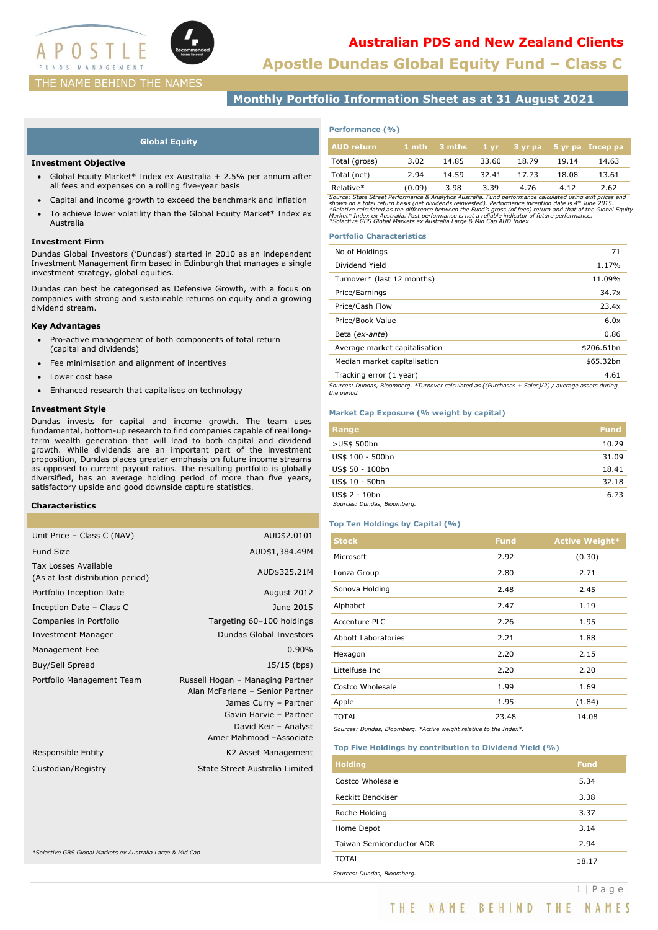

**Apostle Dundas Global Equity Fund – Class C**

# THE NAME BEHIND THE NAMES

# **Monthly Portfolio Information Sheet as at 31 August 2021**

## **Global Equity**

### **Investment Objective**

- Global Equity Market\* Index ex Australia + 2.5% per annum after all fees and expenses on a rolling five-year basis
- Capital and income growth to exceed the benchmark and inflation
- To achieve lower volatility than the Global Equity Market\* Index ex Australia

### **Investment Firm**

Dundas Global Investors ('Dundas') started in 2010 as an independent Investment Management firm based in Edinburgh that manages a single investment strategy, global equities.

Dundas can best be categorised as Defensive Growth, with a focus on companies with strong and sustainable returns on equity and a growing dividend stream.

## **Key Advantages**

- Pro-active management of both components of total return (capital and dividends)
- Fee minimisation and alignment of incentives
- Lower cost base
- Enhanced research that capitalises on technology

## **Investment Style**

Dundas invests for capital and income growth. The team uses fundamental, bottom-up research to find companies capable of real longterm wealth generation that will lead to both capital and dividend growth. While dividends are an important part of the investment proposition, Dundas places greater emphasis on future income streams as opposed to current payout ratios. The resulting portfolio is globally diversified, has an average holding period of more than five years, satisfactory upside and good downside capture statistics.

### **Characteristics**

| Unit Price - Class C (NAV)                                 | AUD\$2.0101                                                                                                                                                               |
|------------------------------------------------------------|---------------------------------------------------------------------------------------------------------------------------------------------------------------------------|
| <b>Fund Size</b>                                           | AUD\$1,384.49M                                                                                                                                                            |
| Tax Losses Available<br>(As at last distribution period)   | AUD\$325.21M                                                                                                                                                              |
| Portfolio Inception Date                                   | August 2012                                                                                                                                                               |
| Inception Date - Class C                                   | June 2015                                                                                                                                                                 |
| Companies in Portfolio                                     | Targeting 60-100 holdings                                                                                                                                                 |
| <b>Investment Manager</b>                                  | <b>Dundas Global Investors</b>                                                                                                                                            |
| Management Fee                                             | 0.90%                                                                                                                                                                     |
| Buy/Sell Spread                                            | $15/15$ (bps)                                                                                                                                                             |
| Portfolio Management Team                                  | Russell Hogan - Managing Partner<br>Alan McFarlane - Senior Partner<br>James Curry - Partner<br>Gavin Harvie - Partner<br>David Keir - Analyst<br>Amer Mahmood -Associate |
| Responsible Entity                                         | K2 Asset Management                                                                                                                                                       |
| Custodian/Registry                                         | State Street Australia Limited                                                                                                                                            |
| *Solactive GBS Global Markets ex Australia Large & Mid Cap |                                                                                                                                                                           |

# **Performance (%)**

| AUD return    |        | $1$ mth $3$ mths | $1 \, \text{vr}$ |       |       | 3 yr pa 5 yr pa Incep pa |
|---------------|--------|------------------|------------------|-------|-------|--------------------------|
| Total (gross) | 3.02   | 14.85            | 33.60            | 18.79 | 19.14 | 14.63                    |
| Total (net)   | 2.94   | 14.59            | 32.41            | 17.73 | 18.08 | 13.61                    |
| Relative*     | (0.09) | 3.98             | 3.39             | 4.76  | 4.12  | 2.62                     |

Relative\*  $(0.09)$  3.98 3.39 4.76 4.12 2.62<br>Source: State Street Performance & Analytics Australia. Fund performance calculated using exit prices and<br>shown on a total return basis (net dividends reinvested). Performance i

## **Portfolio Characteristics**

| No of Holdings                                                                                                     | 71         |
|--------------------------------------------------------------------------------------------------------------------|------------|
| Dividend Yield                                                                                                     | 1.17%      |
| Turnover* (last 12 months)                                                                                         | 11.09%     |
| Price/Earnings                                                                                                     | 34.7x      |
| Price/Cash Flow                                                                                                    | 23.4x      |
| Price/Book Value                                                                                                   | 6.0x       |
| Beta (ex-ante)                                                                                                     | 0.86       |
| Average market capitalisation                                                                                      | \$206.61bn |
| Median market capitalisation                                                                                       | \$65.32bn  |
| Tracking error (1 year)                                                                                            | 4.61       |
| Sources: Dundas, Bloomberg. *Turnover calculated as ((Purchases + Sales)/2) / average assets during<br>the period. |            |

### **Market Cap Exposure (% weight by capital)**

| Range                       | <b>Fund</b> |
|-----------------------------|-------------|
| >US\$ 500bn                 | 10.29       |
| US\$ 100 - 500bn            | 31.09       |
| US\$ 50 - 100bn             | 18.41       |
| US\$ 10 - 50bn              | 32.18       |
| US\$ 2 - 10bn               | 6.73        |
| Sources: Dundas, Bloomberg. |             |

## **Top Ten Holdings by Capital (%)**

| <b>Stock</b>               | <b>Fund</b> | <b>Active Weight*</b> |
|----------------------------|-------------|-----------------------|
| Microsoft                  | 2.92        | (0.30)                |
| Lonza Group                | 2.80        | 2.71                  |
| Sonova Holding             | 2.48        | 2.45                  |
| Alphabet                   | 2.47        | 1.19                  |
| Accenture PLC              | 2.26        | 1.95                  |
| <b>Abbott Laboratories</b> | 2.21        | 1.88                  |
| Hexagon                    | 2.20        | 2.15                  |
| Littelfuse Inc             | 2.20        | 2.20                  |
| Costco Wholesale           | 1.99        | 1.69                  |
| Apple                      | 1.95        | (1.84)                |
| <b>TOTAL</b>               | 23.48       | 14.08                 |

*Sources: Dundas, Bloomberg. \*Active weight relative to the Index\*.*

## **Top Five Holdings by contribution to Dividend Yield (%)**

| <b>Holding</b>              | <b>Fund</b> |
|-----------------------------|-------------|
| Costco Wholesale            | 5.34        |
| Reckitt Benckiser           | 3.38        |
| Roche Holding               | 3.37        |
| Home Depot                  | 3.14        |
| Taiwan Semiconductor ADR    | 2.94        |
| <b>TOTAL</b>                | 18.17       |
| Sources: Dundas, Bloomberg. |             |

THE NAME BEHIND THE NAMES

1 | P a g e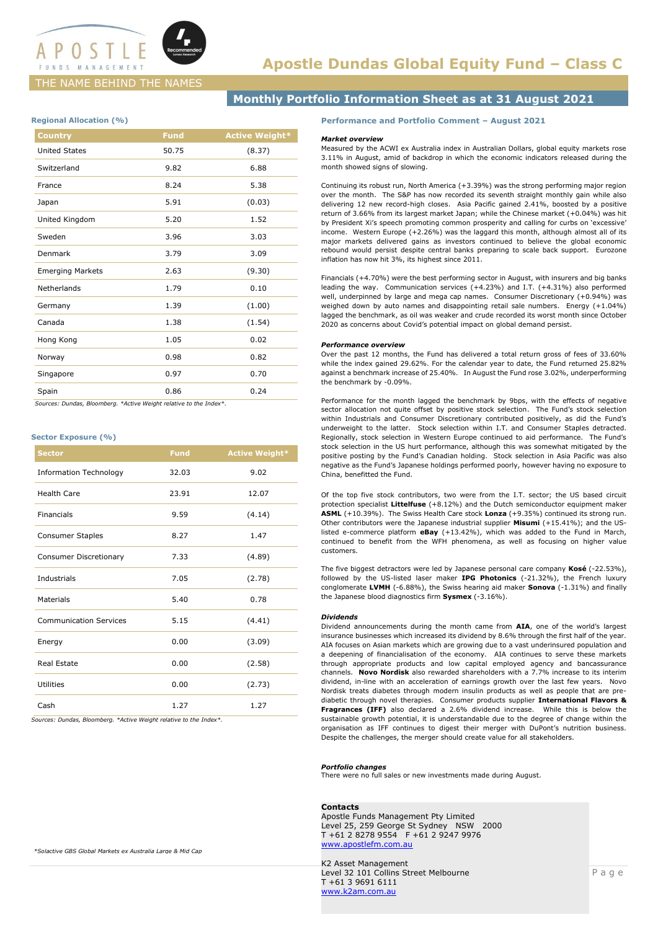

# THE NAME BEHIND THE NAMES

# **Monthly Portfolio Information Sheet as at 31 August 2021**

## **Regional Allocation (%)**

| <b>Country</b>          | <b>Fund</b> | <b>Active Weight*</b> |
|-------------------------|-------------|-----------------------|
| <b>United States</b>    | 50.75       | (8.37)                |
| Switzerland             | 9.82        | 6.88                  |
| France                  | 8.24        | 5.38                  |
| Japan                   | 5.91        | (0.03)                |
| United Kingdom          | 5.20        | 1.52                  |
| Sweden                  | 3.96        | 3.03                  |
| Denmark                 | 3.79        | 3.09                  |
| <b>Emerging Markets</b> | 2.63        | (9.30)                |
| Netherlands             | 1.79        | 0.10                  |
| Germany                 | 1.39        | (1.00)                |
| Canada                  | 1.38        | (1.54)                |
| Hong Kong               | 1.05        | 0.02                  |
| Norway                  | 0.98        | 0.82                  |
| Singapore               | 0.97        | 0.70                  |
| Spain                   | 0.86        | 0.24                  |

 *Sources: Dundas, Bloomberg. \*Active Weight relative to the Index\*.*

### **Sector Exposure (%)**

| <b>Sector</b>                 | <b>Fund</b> | <b>Active Weight*</b> |
|-------------------------------|-------------|-----------------------|
| <b>Information Technology</b> | 32.03       | 9.02                  |
| <b>Health Care</b>            | 23.91       | 12.07                 |
| Financials                    | 9.59        | (4.14)                |
| <b>Consumer Staples</b>       | 8.27        | 1.47                  |
| Consumer Discretionary        | 7.33        | (4.89)                |
| Industrials                   | 7.05        | (2.78)                |
| <b>Materials</b>              | 5.40        | 0.78                  |
| <b>Communication Services</b> | 5.15        | (4.41)                |
| Energy                        | 0.00        | (3.09)                |
| <b>Real Estate</b>            | 0.00        | (2.58)                |
| <b>Utilities</b>              | 0.00        | (2.73)                |
| Cash                          | 1.27        | 1.27                  |

*Sources: Dundas, Bloomberg. \*Active Weight relative to the Index\*.*

### **Performance and Portfolio Comment – August 2021**

### *Market overview*

Measured by the ACWI ex Australia index in Australian Dollars, global equity markets rose 3.11% in August, amid of backdrop in which the economic indicators released during the month showed signs of slowing.

Continuing its robust run, North America (+3.39%) was the strong performing major region over the month. The S&P has now recorded its seventh straight monthly gain while also delivering 12 new record-high closes. Asia Pacific gained 2.41%, boosted by a positive return of 3.66% from its largest market Japan; while the Chinese market (+0.04%) was hit by President Xi's speech promoting common prosperity and calling for curbs on 'excessive' income. Western Europe (+2.26%) was the laggard this month, although almost all of its major markets delivered gains as investors continued to believe the global economic rebound would persist despite central banks preparing to scale back support. Eurozone inflation has now hit 3%, its highest since 2011.

Financials (+4.70%) were the best performing sector in August, with insurers and big banks leading the way. Communication services (+4.23%) and I.T. (+4.31%) also performed well, underpinned by large and mega cap names. Consumer Discretionary (+0.94%) was weighed down by auto names and disappointing retail sale numbers. Energy (+1.04%) lagged the benchmark, as oil was weaker and crude recorded its worst month since October 2020 as concerns about Covid's potential impact on global demand persist.

#### *Performance overview*

Over the past 12 months, the Fund has delivered a total return gross of fees of 33.60% while the index gained 29.62%. For the calendar year to date, the Fund returned 25.82% against a benchmark increase of 25.40%. In August the Fund rose 3.02%, underperforming the benchmark by -0.09%.

Performance for the month lagged the benchmark by 9bps, with the effects of negative sector allocation not quite offset by positive stock selection. The Fund's stock selection within Industrials and Consumer Discretionary contributed positively, as did the Fund's underweight to the latter. Stock selection within I.T. and Consumer Staples detracted. Regionally, stock selection in Western Europe continued to aid performance. The Fund's stock selection in the US hurt performance, although this was somewhat mitigated by the positive posting by the Fund's Canadian holding. Stock selection in Asia Pacific was also negative as the Fund's Japanese holdings performed poorly, however having no exposure to China, benefitted the Fund.

Of the top five stock contributors, two were from the I.T. sector; the US based circuit protection specialist **Littelfuse** (+8.12%) and the Dutch semiconductor equipment maker **ASML** (+10.39%). The Swiss Health Care stock **Lonza** (+9.35%) continued its strong run. Other contributors were the Japanese industrial supplier **Misumi** (+15.41%); and the USlisted e-commerce platform **eBay** (+13.42%), which was added to the Fund in March, continued to benefit from the WFH phenomena, as well as focusing on higher value customers.

The five biggest detractors were led by Japanese personal care company **Kosé** (-22.53%), followed by the US-listed laser maker **IPG Photonics** (-21.32%), the French luxury conglomerate **LVMH** (-6.88%), the Swiss hearing aid maker **Sonova** (-1.31%) and finally the Japanese blood diagnostics firm **Sysmex** (-3.16%).

### *Dividends*

Dividend announcements during the month came from **AIA**, one of the world's largest insurance businesses which increased its dividend by 8.6% through the first half of the year. AIA focuses on Asian markets which are growing due to a vast underinsured population and a deepening of financialisation of the economy. AIA continues to serve these markets through appropriate products and low capital employed agency and bancassurance channels. **Novo Nordisk** also rewarded shareholders with a 7.7% increase to its interim dividend, in-line with an acceleration of earnings growth over the last few years. Novo Nordisk treats diabetes through modern insulin products as well as people that are prediabetic through novel therapies. Consumer products supplier **International Flavors & Fragrances (IFF)** also declared a 2.6% dividend increase. While this is below the sustainable growth potential, it is understandable due to the degree of change within the organisation as IFF continues to digest their merger with DuPont's nutrition business. Despite the challenges, the merger should create value for all stakeholders.

### *Portfolio changes*

There were no full sales or new investments made during August.

#### **Contacts**

Apostle Funds Management Pty Limited Level 25, 259 George St Sydney NSW 2000 T +61 2 8278 9554 F +61 2 9247 9976 www.apostlefm.com.au

K2 Asset Management Level 32 101 Collins Street Melbourne T +61 3 9691 6111 www.k2am.com.au